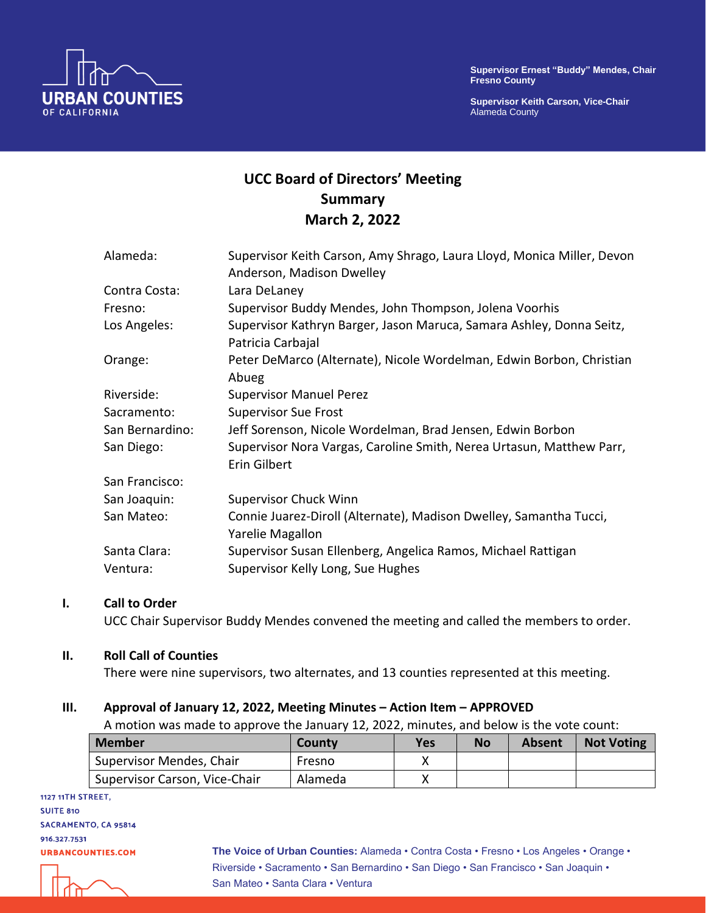

**Supervisor Keith Carson, Vice-Chair** Alameda County



# **UCC Board of Directors' Meeting Summary March 2, 2022**

| Alameda:        | Supervisor Keith Carson, Amy Shrago, Laura Lloyd, Monica Miller, Devon<br>Anderson, Madison Dwelley |
|-----------------|-----------------------------------------------------------------------------------------------------|
| Contra Costa:   | Lara DeLaney                                                                                        |
| Fresno:         | Supervisor Buddy Mendes, John Thompson, Jolena Voorhis                                              |
| Los Angeles:    | Supervisor Kathryn Barger, Jason Maruca, Samara Ashley, Donna Seitz,<br>Patricia Carbajal           |
| Orange:         | Peter DeMarco (Alternate), Nicole Wordelman, Edwin Borbon, Christian<br>Abueg                       |
| Riverside:      | <b>Supervisor Manuel Perez</b>                                                                      |
| Sacramento:     | <b>Supervisor Sue Frost</b>                                                                         |
| San Bernardino: | Jeff Sorenson, Nicole Wordelman, Brad Jensen, Edwin Borbon                                          |
| San Diego:      | Supervisor Nora Vargas, Caroline Smith, Nerea Urtasun, Matthew Parr,<br>Erin Gilbert                |
| San Francisco:  |                                                                                                     |
| San Joaquin:    | <b>Supervisor Chuck Winn</b>                                                                        |
| San Mateo:      | Connie Juarez-Diroll (Alternate), Madison Dwelley, Samantha Tucci,<br>Yarelie Magallon              |
| Santa Clara:    | Supervisor Susan Ellenberg, Angelica Ramos, Michael Rattigan                                        |
| Ventura:        | Supervisor Kelly Long, Sue Hughes                                                                   |

## **I. Call to Order**

UCC Chair Supervisor Buddy Mendes convened the meeting and called the members to order.

#### **II. Roll Call of Counties**

There were nine supervisors, two alternates, and 13 counties represented at this meeting.

#### **III. Approval of January 12, 2022, Meeting Minutes – Action Item – APPROVED**

A motion was made to approve the January 12, 2022, minutes, and below is the vote count:

| <b>Member</b>                 | County  | <b>Yes</b> | No | <b>Absent</b> | <b>Not Voting</b> |
|-------------------------------|---------|------------|----|---------------|-------------------|
| Supervisor Mendes, Chair      | Fresno  |            |    |               |                   |
| Supervisor Carson, Vice-Chair | Alameda |            |    |               |                   |

1127 11TH STREET, **SUITE 810** SACRAMENTO, CA 95814 916.327.7531 **URBANCOUNTIES.COM** 

**The Voice of Urban Counties:** Alameda • Contra Costa • Fresno • Los Angeles • Orange • Riverside • Sacramento • San Bernardino • San Diego • San Francisco • San Joaquin • San Mateo • Santa Clara • Ventura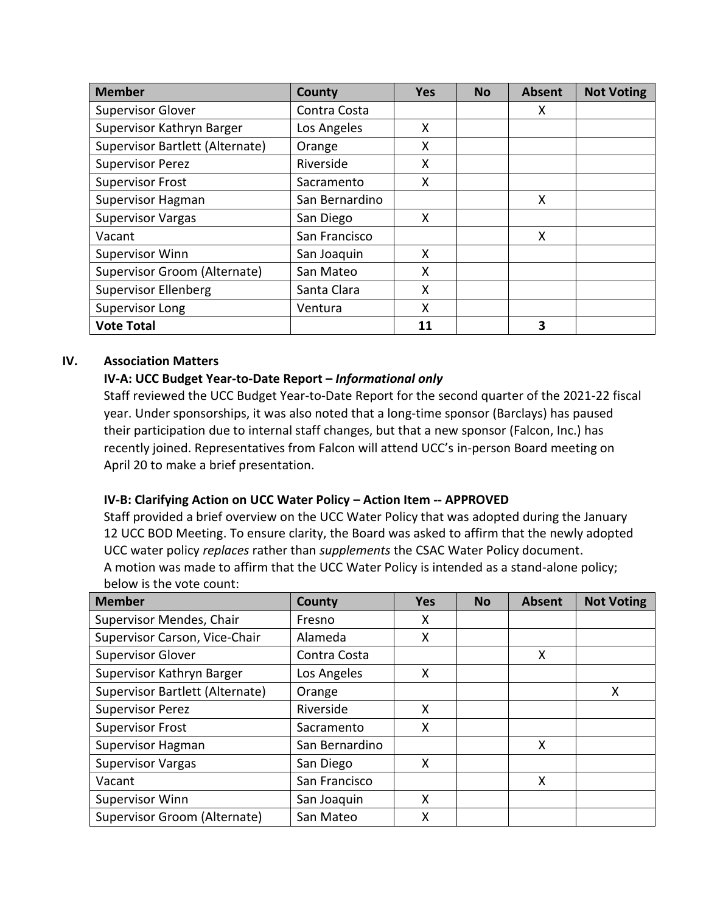| <b>Member</b>                   | County         | <b>Yes</b> | <b>No</b> | <b>Absent</b> | <b>Not Voting</b> |
|---------------------------------|----------------|------------|-----------|---------------|-------------------|
| <b>Supervisor Glover</b>        | Contra Costa   |            |           | X             |                   |
| Supervisor Kathryn Barger       | Los Angeles    | X          |           |               |                   |
| Supervisor Bartlett (Alternate) | Orange         | X          |           |               |                   |
| <b>Supervisor Perez</b>         | Riverside      | X          |           |               |                   |
| <b>Supervisor Frost</b>         | Sacramento     | X          |           |               |                   |
| <b>Supervisor Hagman</b>        | San Bernardino |            |           | X             |                   |
| <b>Supervisor Vargas</b>        | San Diego      | X          |           |               |                   |
| Vacant                          | San Francisco  |            |           | X             |                   |
| Supervisor Winn                 | San Joaquin    | X          |           |               |                   |
| Supervisor Groom (Alternate)    | San Mateo      | X          |           |               |                   |
| <b>Supervisor Ellenberg</b>     | Santa Clara    | X          |           |               |                   |
| Supervisor Long                 | Ventura        | X          |           |               |                   |
| <b>Vote Total</b>               |                | 11         |           | 3             |                   |

# **IV. Association Matters**

# **IV-A: UCC Budget Year-to-Date Report –** *Informational only*

Staff reviewed the UCC Budget Year-to-Date Report for the second quarter of the 2021-22 fiscal year. Under sponsorships, it was also noted that a long-time sponsor (Barclays) has paused their participation due to internal staff changes, but that a new sponsor (Falcon, Inc.) has recently joined. Representatives from Falcon will attend UCC's in-person Board meeting on April 20 to make a brief presentation.

# **IV-B: Clarifying Action on UCC Water Policy – Action Item -- APPROVED**

Staff provided a brief overview on the UCC Water Policy that was adopted during the January 12 UCC BOD Meeting. To ensure clarity, the Board was asked to affirm that the newly adopted UCC water policy *replaces* rather than *supplements* the CSAC Water Policy document. A motion was made to affirm that the UCC Water Policy is intended as a stand-alone policy; below is the vote count:

| <b>Member</b>                   | County         | <b>Yes</b> | <b>No</b> | <b>Absent</b> | <b>Not Voting</b> |
|---------------------------------|----------------|------------|-----------|---------------|-------------------|
| Supervisor Mendes, Chair        | Fresno         | х          |           |               |                   |
| Supervisor Carson, Vice-Chair   | Alameda        | Χ          |           |               |                   |
| <b>Supervisor Glover</b>        | Contra Costa   |            |           | X             |                   |
| Supervisor Kathryn Barger       | Los Angeles    | X          |           |               |                   |
| Supervisor Bartlett (Alternate) | Orange         |            |           |               | X                 |
| <b>Supervisor Perez</b>         | Riverside      | X          |           |               |                   |
| <b>Supervisor Frost</b>         | Sacramento     | Χ          |           |               |                   |
| Supervisor Hagman               | San Bernardino |            |           | X             |                   |
| <b>Supervisor Vargas</b>        | San Diego      | Χ          |           |               |                   |
| Vacant                          | San Francisco  |            |           | X             |                   |
| <b>Supervisor Winn</b>          | San Joaquin    | Χ          |           |               |                   |
| Supervisor Groom (Alternate)    | San Mateo      | х          |           |               |                   |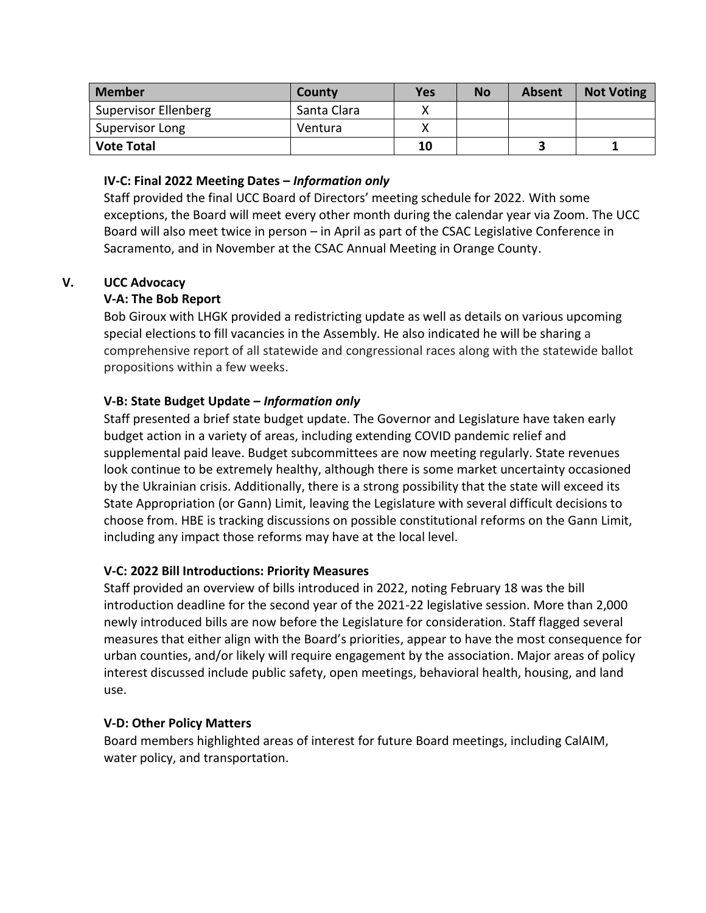| <b>Member</b>        | County      | Yes | <b>No</b> | Absent | <b>Not Voting</b> |
|----------------------|-------------|-----|-----------|--------|-------------------|
| Supervisor Ellenberg | Santa Clara |     |           |        |                   |
| Supervisor Long      | Ventura     |     |           |        |                   |
| <b>Vote Total</b>    |             | 10  |           |        |                   |

# **IV-C: Final 2022 Meeting Dates –** *Information only*

Staff provided the final UCC Board of Directors' meeting schedule for 2022. With some exceptions, the Board will meet every other month during the calendar year via Zoom. The UCC Board will also meet twice in person – in April as part of the CSAC Legislative Conference in Sacramento, and in November at the CSAC Annual Meeting in Orange County.

# **V. UCC Advocacy**

# **V-A: The Bob Report**

Bob Giroux with LHGK provided a redistricting update as well as details on various upcoming special elections to fill vacancies in the Assembly. He also indicated he will be sharing a comprehensive report of all statewide and congressional races along with the statewide ballot propositions within a few weeks.

# **V-B: State Budget Update –** *Information only*

Staff presented a brief state budget update. The Governor and Legislature have taken early budget action in a variety of areas, including extending COVID pandemic relief and supplemental paid leave. Budget subcommittees are now meeting regularly. State revenues look continue to be extremely healthy, although there is some market uncertainty occasioned by the Ukrainian crisis. Additionally, there is a strong possibility that the state will exceed its State Appropriation (or Gann) Limit, leaving the Legislature with several difficult decisions to choose from. HBE is tracking discussions on possible constitutional reforms on the Gann Limit, including any impact those reforms may have at the local level.

## **V-C: 2022 Bill Introductions: Priority Measures**

Staff provided an overview of bills introduced in 2022, noting February 18 was the bill introduction deadline for the second year of the 2021-22 legislative session. More than 2,000 newly introduced bills are now before the Legislature for consideration. Staff flagged several measures that either align with the Board's priorities, appear to have the most consequence for urban counties, and/or likely will require engagement by the association. Major areas of policy interest discussed include public safety, open meetings, behavioral health, housing, and land use.

## **V-D: Other Policy Matters**

Board members highlighted areas of interest for future Board meetings, including CalAIM, water policy, and transportation.